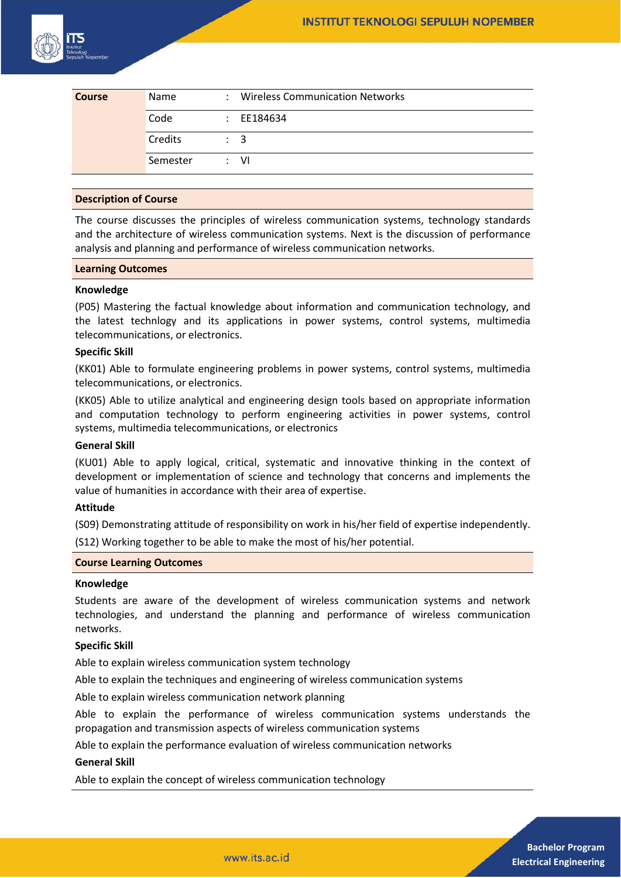

| <b>Course</b> | <b>Name</b> | : Wireless Communication Networks |
|---------------|-------------|-----------------------------------|
|               | Code        | $\therefore$ EE184634             |
|               | Credits     | $\therefore$ 3                    |
|               | Semester    | : VI                              |

### **Description of Course**

The course discusses the principles of wireless communication systems, technology standards and the architecture of wireless communication systems. Next is the discussion of performance analysis and planning and performance of wireless communication networks.

### **Learning Outcomes**

# **Knowledge**

(P05) Mastering the factual knowledge about information and communication technology, and the latest technlogy and its applications in power systems, control systems, multimedia telecommunications, or electronics.

### **Specific Skill**

(KK01) Able to formulate engineering problems in power systems, control systems, multimedia telecommunications, or electronics.

(KK05) Able to utilize analytical and engineering design tools based on appropriate information and computation technology to perform engineering activities in power systems, control systems, multimedia telecommunications, or electronics

## **General Skill**

(KU01) Able to apply logical, critical, systematic and innovative thinking in the context of development or implementation of science and technology that concerns and implements the value of humanities in accordance with their area of expertise.

### **Attitude**

(S09) Demonstrating attitude of responsibility on work in his/her field of expertise independently.

(S12) Working together to be able to make the most of his/her potential.

#### **Course Learning Outcomes**

#### **Knowledge**

Students are aware of the development of wireless communication systems and network technologies, and understand the planning and performance of wireless communication networks.

## **Specific Skill**

Able to explain wireless communication system technology

Able to explain the techniques and engineering of wireless communication systems

Able to explain wireless communication network planning

Able to explain the performance of wireless communication systems understands the propagation and transmission aspects of wireless communication systems

Able to explain the performance evaluation of wireless communication networks

#### **General Skill**

Able to explain the concept of wireless communication technology